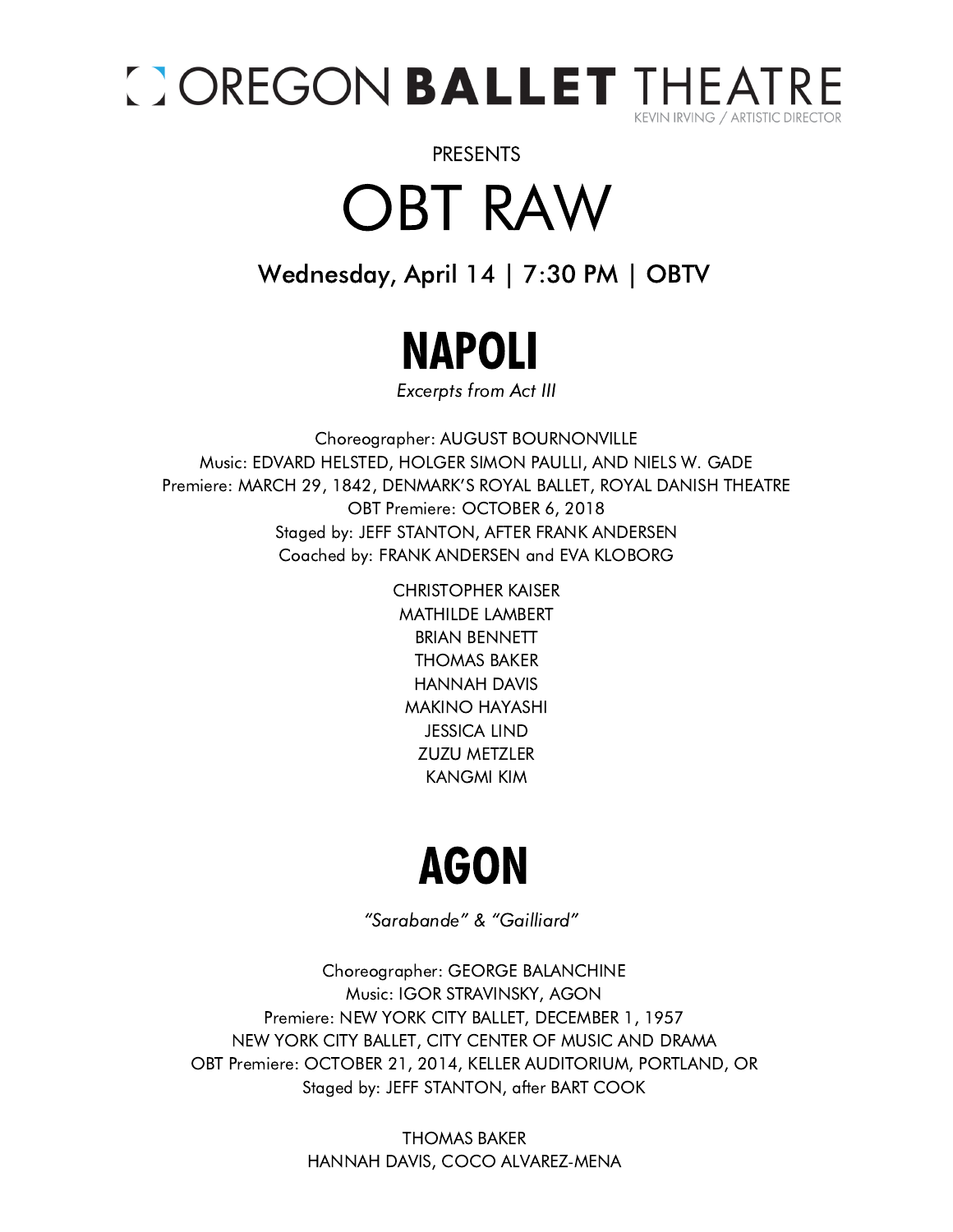

PRESENTS

OBT RAW

#### Wednesday, April 14 | 7:30 PM | OBTV



Excerpts from Act III

Choreographer: AUGUST BOURNONVILLE Music: EDVARD HELSTED, HOLGER SIMON PAULLI, AND NIELS W. GADE Premiere: MARCH 29, 1842, DENMARK'S ROYAL BALLET, ROYAL DANISH THEATRE OBT Premiere: OCTOBER 6, 2018 Staged by: JEFF STANTON, AFTER FRANK ANDERSEN Coached by: FRANK ANDERSEN and EVA KLOBORG

> CHRISTOPHER KAISER MATHILDE LAMBERT BRIAN BENNETT THOMAS BAKER HANNAH DAVIS MAKINO HAYASHI JESSICA LIND ZUZU METZLER KANGMI KIM

### AGON

"Sarabande" & "Gailliard"

Choreographer: GEORGE BALANCHINE Music: IGOR STRAVINSKY, AGON Premiere: NEW YORK CITY BALLET, DECEMBER 1, 1957 NEW YORK CITY BALLET, CITY CENTER OF MUSIC AND DRAMA OBT Premiere: OCTOBER 21, 2014, KELLER AUDITORIUM, PORTLAND, OR Staged by: JEFF STANTON, after BART COOK

> THOMAS BAKER HANNAH DAVIS, COCO ALVAREZ-MENA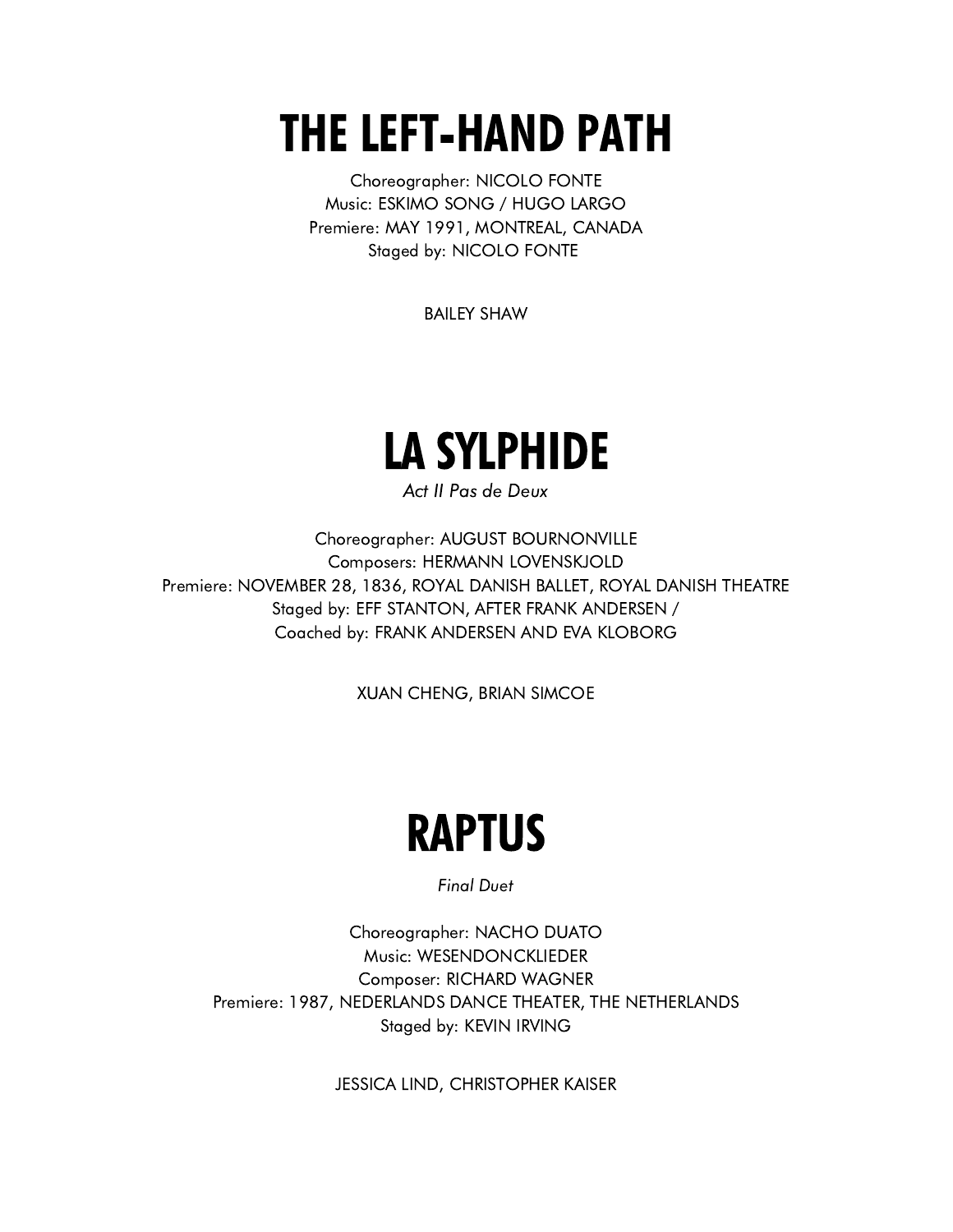# THE LEFT-HAND PATH

Choreographer: NICOLO FONTE Music: ESKIMO SONG / HUGO LARGO Premiere: MAY 1991, MONTREAL, CANADA Staged by: NICOLO FONTE

BAILEY SHAW

## LA SYLPHIDE

Act II Pas de Deux

Choreographer: AUGUST BOURNONVILLE Composers: HERMANN LOVENSKJOLD Premiere: NOVEMBER 28, 1836, ROYAL DANISH BALLET, ROYAL DANISH THEATRE Staged by: EFF STANTON, AFTER FRANK ANDERSEN / Coached by: FRANK ANDERSEN AND EVA KLOBORG

XUAN CHENG, BRIAN SIMCOE

#### RAPTUS

Final Duet

Choreographer: NACHO DUATO Music: WESENDONCKLIEDER Composer: RICHARD WAGNER Premiere: 1987, NEDERLANDS DANCE THEATER, THE NETHERLANDS Staged by: KEVIN IRVING

JESSICA LIND, CHRISTOPHER KAISER